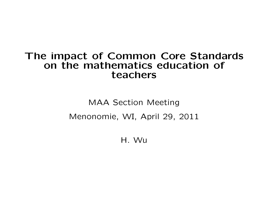# The impact of Common Core Standards on the mathematics education of teachers

MAA Section Meeting Menonomie, WI, April 29, 2011

H. Wu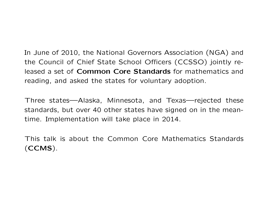In June of 2010, the National Governors Association (NGA) and the Council of Chief State School Officers (CCSSO) jointly released a set of Common Core Standards for mathematics and reading, and asked the states for voluntary adoption.

Three states—Alaska, Minnesota, and Texas—rejected these standards, but over 40 other states have signed on in the meantime. Implementation will take place in 2014.

This talk is about the Common Core Mathematics Standards (CCMS).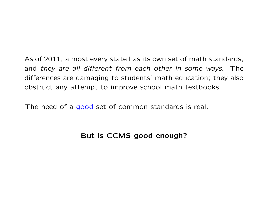As of 2011, almost every state has its own set of math standards, and they are all different from each other in some ways. The differences are damaging to students' math education; they also obstruct any attempt to improve school math textbooks.

The need of a good set of common standards is real.

#### But is CCMS good enough?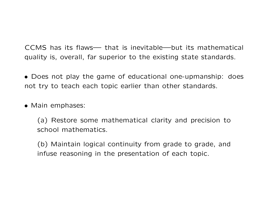CCMS has its flaws— that is inevitable—but its mathematical quality is, overall, far superior to the existing state standards.

• Does not play the game of educational one-upmanship: does not try to teach each topic earlier than other standards.

• Main emphases:

(a) Restore some mathematical clarity and precision to school mathematics.

(b) Maintain logical continuity from grade to grade, and infuse reasoning in the presentation of each topic.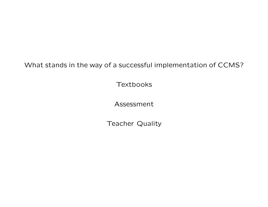What stands in the way of a successful implementation of CCMS?

**Textbooks** 

Assessment

Teacher Quality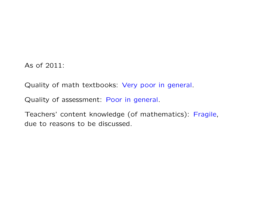As of 2011:

Quality of math textbooks: Very poor in general.

Quality of assessment: Poor in general.

Teachers' content knowledge (of mathematics): Fragile, due to reasons to be discussed.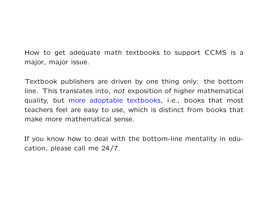How to get adequate math textbooks to support CCMS is a major, major issue.

Textbook publishers are driven by one thing only: the bottom line. This translates into, not exposition of higher mathematical quality, but more adoptable textbooks, i.e., books that most teachers feel are easy to use, which is distinct from books that make more mathematical sense.

If you know how to deal with the bottom-line mentality in education, please call me 24/7.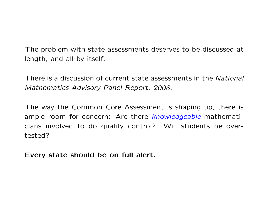The problem with state assessments deserves to be discussed at length, and all by itself.

There is a discussion of current state assessments in the National Mathematics Advisory Panel Report, 2008.

The way the Common Core Assessment is shaping up, there is ample room for concern: Are there knowledgeable mathematicians involved to do quality control? Will students be overtested?

Every state should be on full alert.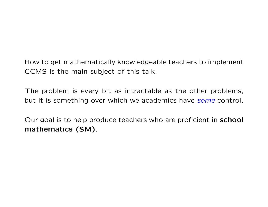## How to get mathematically knowledgeable teachers to implement CCMS is the main subject of this talk.

The problem is every bit as intractable as the other problems, but it is something over which we academics have some control.

Our goal is to help produce teachers who are proficient in school mathematics (SM).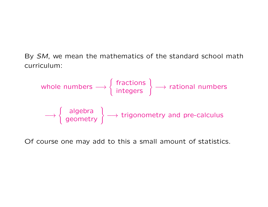By SM, we mean the mathematics of the standard school math curriculum:

whole numbers 
$$
\longrightarrow
$$
 { fractions  
\nintegers  $\longrightarrow$  rational numbers

\nalgebra geometry  $\longrightarrow$  (aigenmetry)  $\longrightarrow$  (aigenmetry)  $\longrightarrow$  (b)  $\longrightarrow$  (b)  $\longrightarrow$  (c)  $\longrightarrow$  (d)  $\longrightarrow$  (e)  $\longrightarrow$  (f)  $\longrightarrow$  (g)  $\longrightarrow$  (g)  $\longrightarrow$  (h)  $\longrightarrow$  (i)  $\longrightarrow$  (j)  $\longrightarrow$  (k)  $\longrightarrow$  (l)  $\longrightarrow$  (m)  $\longrightarrow$  (m)  $\longrightarrow$  (m)  $\longrightarrow$  (m)  $\longrightarrow$  (m)  $\longrightarrow$  (m)  $\longrightarrow$  (m)  $\longrightarrow$  (m)  $\longrightarrow$  (m)  $\longrightarrow$  (m)  $\longrightarrow$  (m)  $\longrightarrow$  (m)  $\longrightarrow$  (m)  $\longrightarrow$  (m)  $\longrightarrow$  (m)  $\longrightarrow$  (m)  $\longrightarrow$  (m)  $\longrightarrow$  (m)  $\longrightarrow$  (m)  $\longrightarrow$  (m)  $\longrightarrow$  (m)  $\longrightarrow$  (m)  $\longrightarrow$  (m)  $\longrightarrow$  (m)  $\longrightarrow$  (m)  $\longrightarrow$  (m)  $\longrightarrow$  (m)  $\longrightarrow$  (m)  $\longrightarrow$  (m)  $\longrightarrow$  (m)  $\longrightarrow$  (m)  $\longrightarrow$  (m)  $\longrightarrow$  (m)  $\longrightarrow$  (m)  $\longrightarrow$  (m)  $\longrightarrow$  (m)  $\longrightarrow$  (m)  $\longrightarrow$  (m)  $\longrightarrow$  (m)  $\longrightarrow$  (m)  $\longrightarrow$  (m)  $\longrightarrow$  (m)  $\longrightarrow$  (m)  $\longrightarrow$  (m)  $\longrightarrow$  (m)  $\longrightarrow$  (m)  $\longrightarrow$  (m)  $\longrightarrow$  (m)  $\longrightarrow$  (m)  $\longrightarrow$  (m)  $\longrightarrow$  (m)  $\longrightarrow$  (m)  $\longrightarrow$  (m)  $\longrightarrow$  (m)  $\longrightarrow$  (m)  $\longrightarrow$  (m)  $\longrightarrow$  (m)  $\longrightarrow$ 

Of course one may add to this a small amount of statistics.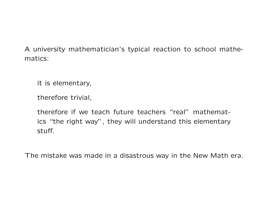A university mathematician's typical reaction to school mathematics:

it is elementary,

therefore trivial,

therefore if we teach future teachers "real" mathematics "the right way", they will understand this elementary stuff.

The mistake was made in a disastrous way in the New Math era.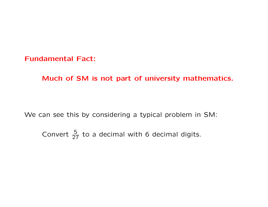Fundamental Fact:

Much of SM is not part of university mathematics.

We can see this by considering a typical problem in SM:

Convert  $\frac{5}{27}$  to a decimal with 6 decimal digits.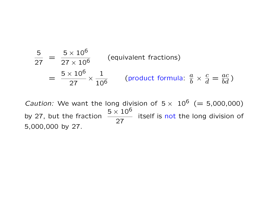$$
\frac{5}{27} = \frac{5 \times 10^6}{27 \times 10^6}
$$
 (equivalent fractions)  
=  $\frac{5 \times 10^6}{27} \times \frac{1}{10^6}$  (product formula:  $\frac{a}{b} \times \frac{c}{d} = \frac{ac}{bd}$ )

*Caution:* We want the long division of  $5 \times 10^6$  (= 5,000,000) by 27, but the fraction 27 itself is not the long division of 5,000,000 by 27.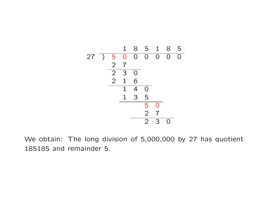|    |                | 1              | 8                | 5              | $\mathbf 1$    | 8 | 5 |
|----|----------------|----------------|------------------|----------------|----------------|---|---|
| 27 | 5              | $\overline{0}$ | $\overline{O}$   | $\Omega$       | $\overline{O}$ | 0 | ∩ |
|    | $\overline{2}$ | $\overline{7}$ |                  |                |                |   |   |
|    | $\overline{2}$ | 3              | $\left( \right)$ |                |                |   |   |
|    | $\overline{2}$ | $\mathbf{1}$   | 6                |                |                |   |   |
|    |                | 1              | $\overline{4}$   | O              |                |   |   |
|    |                | $\mathbf 1$    | 3                | 5              |                |   |   |
|    |                |                |                  | 5              | $\Omega$       |   |   |
|    |                |                |                  | $\overline{2}$ | 7              |   |   |
|    |                |                |                  | $\overline{2}$ | З              |   |   |

We obtain: The long division of 5,000,000 by 27 has quotient 185185 and remainder 5.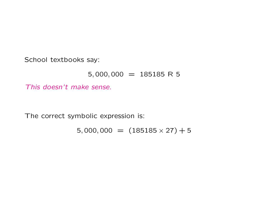School textbooks say:

#### $5,000,000 = 185185 \text{ R } 5$

This doesn't make sense.

The correct symbolic expression is:

 $5,000,000 = (185185 \times 27) + 5$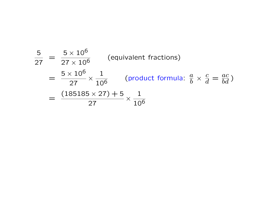$$
\frac{5}{27} = \frac{5 \times 10^6}{27 \times 10^6} \qquad \text{(equivalent fractions)}
$$
\n
$$
= \frac{5 \times 10^6}{27} \times \frac{1}{10^6} \qquad \text{(product formula: } \frac{a}{b} \times \frac{c}{d} = \frac{ac}{bd})
$$
\n
$$
= \frac{(185185 \times 27) + 5}{27} \times \frac{1}{10^6}
$$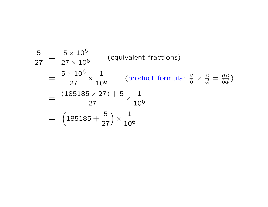$$
\frac{5}{27} = \frac{5 \times 10^6}{27 \times 10^6}
$$
 (equivalent fractions)  
\n
$$
= \frac{5 \times 10^6}{27} \times \frac{1}{10^6}
$$
 (product formula:  $\frac{a}{b} \times \frac{c}{d} = \frac{ac}{bd}$ )  
\n
$$
= \frac{(185185 \times 27) + 5}{27} \times \frac{1}{10^6}
$$
  
\n
$$
= (185185 + \frac{5}{27}) \times \frac{1}{10^6}
$$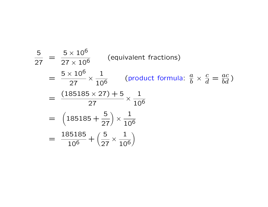$$
\frac{5}{27} = \frac{5 \times 10^6}{27 \times 10^6} \qquad \text{(equivalent fractions)}
$$
\n
$$
= \frac{5 \times 10^6}{27} \times \frac{1}{10^6} \qquad \text{(product formula: } \frac{a}{b} \times \frac{c}{d} = \frac{ac}{bd})
$$
\n
$$
= \frac{(185185 \times 27) + 5}{27} \times \frac{1}{10^6}
$$
\n
$$
= \left(185185 + \frac{5}{27}\right) \times \frac{1}{10^6}
$$
\n
$$
= \frac{185185}{10^6} + \left(\frac{5}{27} \times \frac{1}{10^6}\right)
$$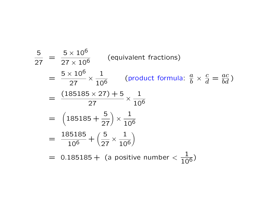$$
\frac{5}{27} = \frac{5 \times 10^6}{27 \times 10^6} \qquad \text{(equivalent fractions)}
$$
\n
$$
= \frac{5 \times 10^6}{27} \times \frac{1}{10^6} \qquad \text{(product formula: } \frac{a}{b} \times \frac{c}{d} = \frac{ac}{bd} \text{)}
$$
\n
$$
= \frac{(185185 \times 27) + 5}{27} \times \frac{1}{10^6}
$$
\n
$$
= \left(185185 + \frac{5}{27}\right) \times \frac{1}{10^6}
$$
\n
$$
= \frac{185185}{10^6} + \left(\frac{5}{27} \times \frac{1}{10^6}\right)
$$
\n
$$
= 0.185185 + \text{(a positive number} < \frac{1}{10^6}\text{)}
$$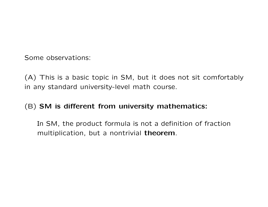Some observations:

(A) This is a basic topic in SM, but it does not sit comfortably in any standard university-level math course.

### (B) SM is different from university mathematics:

In SM, the product formula is not a definition of fraction multiplication, but a nontrivial theorem.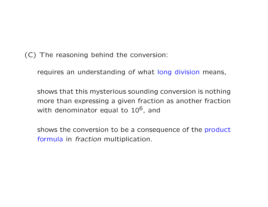(C) The reasoning behind the conversion:

requires an understanding of what long division means,

shows that this mysterious sounding conversion is nothing more than expressing a given fraction as another fraction with denominator equal to  $10^6$ , and

shows the conversion to be a consequence of the product formula in fraction multiplication.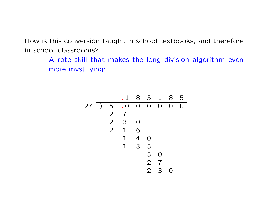How is this conversion taught in school textbooks, and therefore in school classrooms?

> A rote skill that makes the long division algorithm even more mystifying:

$$
\begin{array}{c|cccc}\n & .1 & 8 & 5 & 1 & 8 & 5 \\
27 & ) & 5 & .0 & 0 & 0 & 0 & 0 & 0 \\
 & & 2 & 7 & & & & & \\
\hline\n & 2 & 3 & 0 & & & & & \\
\hline\n & 2 & 1 & 6 & & & & & \\
\hline\n & 1 & 4 & 0 & & & & & \\
\hline\n & 1 & 3 & 5 & & & & \\
\hline\n & 2 & 7 & & & & & \\
\hline\n & 2 & 3 & 0 & & & & \\
\end{array}
$$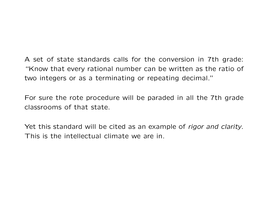A set of state standards calls for the conversion in 7th grade: "Know that every rational number can be written as the ratio of two integers or as a terminating or repeating decimal."

For sure the rote procedure will be paraded in all the 7th grade classrooms of that state.

Yet this standard will be cited as an example of rigor and clarity. This is the intellectual climate we are in.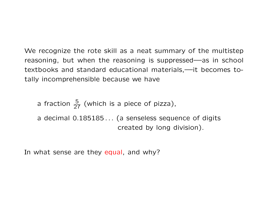We recognize the rote skill as a neat summary of the multistep reasoning, but when the reasoning is suppressed—as in school textbooks and standard educational materials,—it becomes totally incomprehensible because we have

a fraction  $\frac{5}{27}$  (which is a piece of pizza), a decimal 0.185185... (a senseless sequence of digits created by long division).

In what sense are they equal, and why?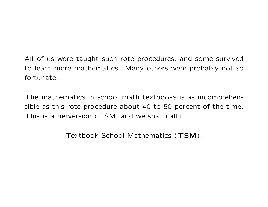## All of us were taught such rote procedures, and some survived to learn more mathematics. Many others were probably not so fortunate.

The mathematics in school math textbooks is as incomprehensible as this rote procedure about 40 to 50 percent of the time. This is a perversion of SM, and we shall call it

Textbook School Mathematics (TSM).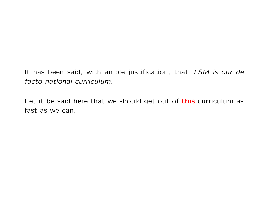It has been said, with ample justification, that  $TSM$  is our de facto national curriculum.

Let it be said here that we should get out of this curriculum as fast as we can.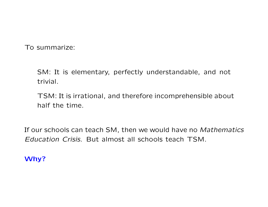To summarize:

SM: It is elementary, perfectly understandable, and not trivial.

TSM: It is irrational, and therefore incomprehensible about half the time.

If our schools can teach SM, then we would have no Mathematics Education Crisis. But almost all schools teach TSM.

#### Why?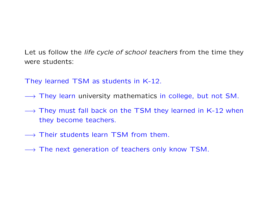Let us follow the *life cycle of school teachers* from the time they were students:

They learned TSM as students in K-12.

- → They learn university mathematics in college, but not SM.
- → They must fall back on the TSM they learned in K-12 when they become teachers.
- → Their students learn TSM from them.
- $\rightarrow$  The next generation of teachers only know TSM.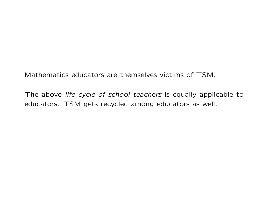Mathematics educators are themselves victims of TSM.

The above life cycle of school teachers is equally applicable to educators: TSM gets recycled among educators as well.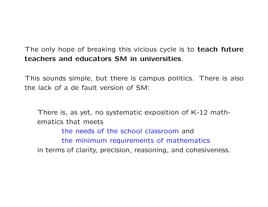The only hope of breaking this vicious cycle is to teach future teachers and educators SM in universities.

This sounds simple, but there is campus politics. There is also the lack of a de fault version of SM:

There is, as yet, no systematic exposition of K-12 mathematics that meets the needs of the school classroom and the minimum requirements of mathematics in terms of clarity, precision, reasoning, and cohesiveness.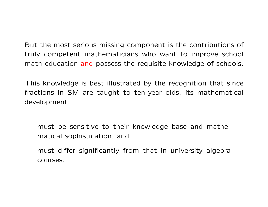But the most serious missing component is the contributions of truly competent mathematicians who want to improve school math education and possess the requisite knowledge of schools.

This knowledge is best illustrated by the recognition that since fractions in SM are taught to ten-year olds, its mathematical development

must be sensitive to their knowledge base and mathematical sophistication, and

must differ significantly from that in university algebra courses.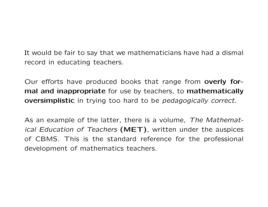It would be fair to say that we mathematicians have had a dismal record in educating teachers.

Our efforts have produced books that range from **overly for**mal and inappropriate for use by teachers, to mathematically **oversimplistic** in trying too hard to be *pedagogically correct*.

As an example of the latter, there is a volume, The Mathematical Education of Teachers  $(MET)$ , written under the auspices of CBMS. This is the standard reference for the professional development of mathematics teachers.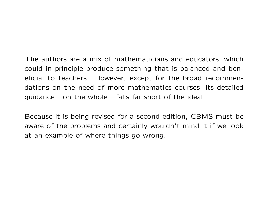The authors are a mix of mathematicians and educators, which could in principle produce something that is balanced and beneficial to teachers. However, except for the broad recommendations on the need of more mathematics courses, its detailed guidance—on the whole—falls far short of the ideal.

Because it is being revised for a second edition, CBMS must be aware of the problems and certainly wouldn't mind it if we look at an example of where things go wrong.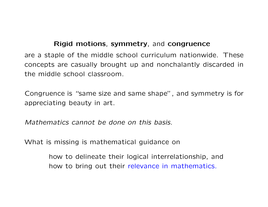#### Rigid motions, symmetry, and congruence

are a staple of the middle school curriculum nationwide. These concepts are casually brought up and nonchalantly discarded in the middle school classroom.

Congruence is "same size and same shape", and symmetry is for appreciating beauty in art.

Mathematics cannot be done on this basis.

What is missing is mathematical guidance on

how to delineate their logical interrelationship, and how to bring out their relevance in mathematics.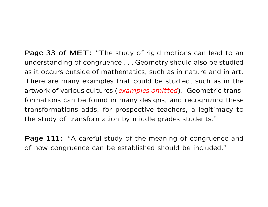Page 33 of MET: "The study of rigid motions can lead to an understanding of congruence . . . Geometry should also be studied as it occurs outside of mathematics, such as in nature and in art. There are many examples that could be studied, such as in the artwork of various cultures (examples omitted). Geometric transformations can be found in many designs, and recognizing these transformations adds, for prospective teachers, a legitimacy to the study of transformation by middle grades students."

**Page 111:** "A careful study of the meaning of congruence and of how congruence can be established should be included."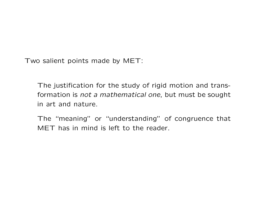Two salient points made by MET:

The justification for the study of rigid motion and transformation is not a mathematical one, but must be sought in art and nature.

The "meaning" or "understanding" of congruence that MET has in mind is left to the reader.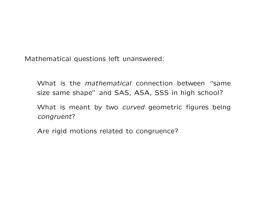Mathematical questions left unanswered:

What is the *mathematical* connection between "same size same shape" and SAS, ASA, SSS in high school?

What is meant by two curved geometric figures being congruent?

Are rigid motions related to congruence?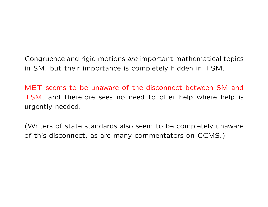Congruence and rigid motions are important mathematical topics in SM, but their importance is completely hidden in TSM.

MET seems to be unaware of the disconnect between SM and TSM, and therefore sees no need to offer help where help is urgently needed.

(Writers of state standards also seem to be completely unaware of this disconnect, as are many commentators on CCMS.)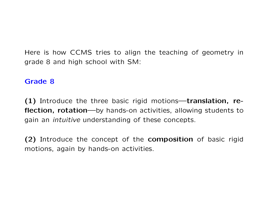Here is how CCMS tries to align the teaching of geometry in grade 8 and high school with SM:

#### Grade 8

(1) Introduce the three basic rigid motions—translation, reflection, rotation—by hands-on activities, allowing students to gain an intuitive understanding of these concepts.

(2) Introduce the concept of the composition of basic rigid motions, again by hands-on activities.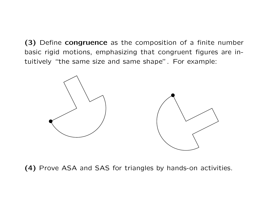(3) Define congruence as the composition of a finite number basic rigid motions, emphasizing that congruent figures are intuitively "the same size and same shape". For example:



(4) Prove ASA and SAS for triangles by hands-on activities.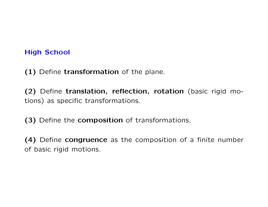#### **High School**

(1) Define transformation of the plane.

(2) Define translation, reflection, rotation (basic rigid motions) as specific transformations.

(3) Define the composition of transformations.

(4) Define congruence as the composition of a finite number of basic rigid motions.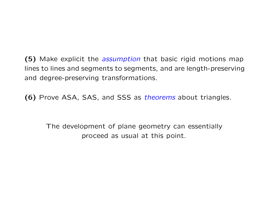(5) Make explicit the *assumption* that basic rigid motions map lines to lines and segments to segments, and are length-preserving and degree-preserving transformations.

(6) Prove ASA, SAS, and SSS as *theorems* about triangles.

The development of plane geometry can essentially proceed as usual at this point.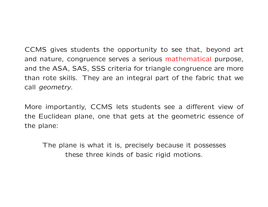CCMS gives students the opportunity to see that, beyond art and nature, congruence serves a serious mathematical purpose, and the ASA, SAS, SSS criteria for triangle congruence are more than rote skills. They are an integral part of the fabric that we call geometry.

More importantly, CCMS lets students see a different view of the Euclidean plane, one that gets at the geometric essence of the plane:

The plane is what it is, precisely because it possesses these three kinds of basic rigid motions.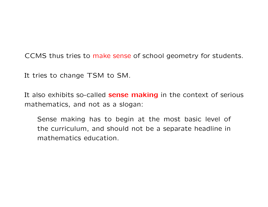CCMS thus tries to make sense of school geometry for students.

It tries to change TSM to SM.

It also exhibits so-called **sense making** in the context of serious mathematics, and not as a slogan:

Sense making has to begin at the most basic level of the curriculum, and should not be a separate headline in mathematics education.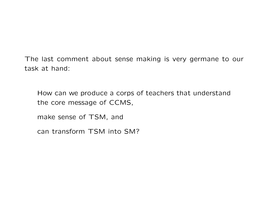The last comment about sense making is very germane to our task at hand:

How can we produce a corps of teachers that understand the core message of CCMS,

make sense of TSM, and

can transform TSM into SM?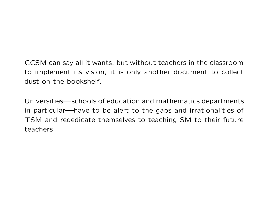## CCSM can say all it wants, but without teachers in the classroom to implement its vision, it is only another document to collect dust on the bookshelf.

Universities—schools of education and mathematics departments in particular—have to be alert to the gaps and irrationalities of TSM and rededicate themselves to teaching SM to their future teachers.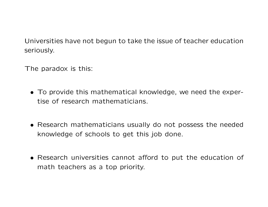Universities have not begun to take the issue of teacher education seriously.

The paradox is this:

- To provide this mathematical knowledge, we need the expertise of research mathematicians.
- Research mathematicians usually do not possess the needed knowledge of schools to get this job done.
- Research universities cannot afford to put the education of math teachers as a top priority.